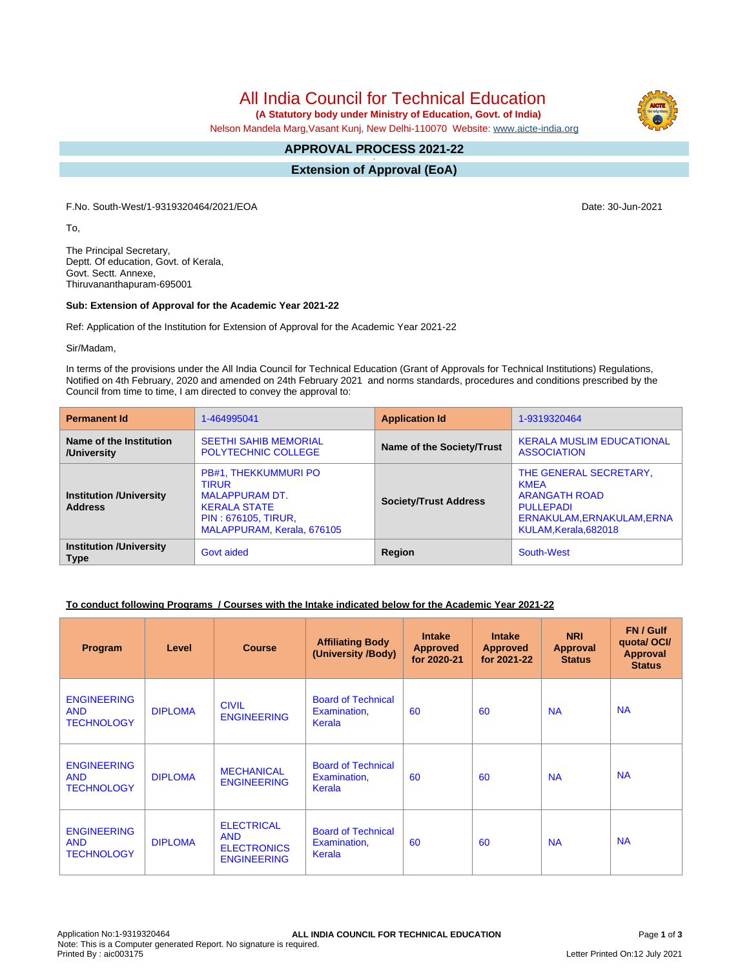All India Council for Technical Education

 **(A Statutory body under Ministry of Education, Govt. of India)**

Nelson Mandela Marg,Vasant Kunj, New Delhi-110070 Website: [www.aicte-india.org](http://www.aicte-india.org)

#### **APPROVAL PROCESS 2021-22 -**

**Extension of Approval (EoA)**

F.No. South-West/1-9319320464/2021/EOA Date: 30-Jun-2021

To,

The Principal Secretary, Deptt. Of education, Govt. of Kerala, Govt. Sectt. Annexe, Thiruvananthapuram-695001

#### **Sub: Extension of Approval for the Academic Year 2021-22**

Ref: Application of the Institution for Extension of Approval for the Academic Year 2021-22

Sir/Madam,

In terms of the provisions under the All India Council for Technical Education (Grant of Approvals for Technical Institutions) Regulations, Notified on 4th February, 2020 and amended on 24th February 2021 and norms standards, procedures and conditions prescribed by the Council from time to time, I am directed to convey the approval to:

| <b>Permanent Id</b>                              | 1-464995041                                                                                                                                      | <b>Application Id</b>        | 1-9319320464                                                                                                                             |
|--------------------------------------------------|--------------------------------------------------------------------------------------------------------------------------------------------------|------------------------------|------------------------------------------------------------------------------------------------------------------------------------------|
| Name of the Institution<br>/University           | <b>SEETHI SAHIB MEMORIAL</b><br><b>POLYTECHNIC COLLEGE</b>                                                                                       | Name of the Society/Trust    | <b>KERALA MUSLIM EDUCATIONAL</b><br><b>ASSOCIATION</b>                                                                                   |
| <b>Institution /University</b><br><b>Address</b> | PB#1, THEKKUMMURI PO<br><b>TIRUR</b><br><b>MALAPPURAM DT.</b><br><b>KERALA STATE</b><br><b>PIN: 676105, TIRUR,</b><br>MALAPPURAM, Kerala, 676105 | <b>Society/Trust Address</b> | THE GENERAL SECRETARY.<br><b>KMEA</b><br><b>ARANGATH ROAD</b><br><b>PULLEPADI</b><br>ERNAKULAM, ERNAKULAM, ERNA<br>KULAM, Kerala, 682018 |
| <b>Institution /University</b><br><b>Type</b>    | <b>Govt aided</b>                                                                                                                                | Region                       | South-West                                                                                                                               |

# **To conduct following Programs / Courses with the Intake indicated below for the Academic Year 2021-22**

| Program                                               | Level          | <b>Course</b>                                                               | <b>Affiliating Body</b><br>(University /Body)       | <b>Intake</b><br><b>Approved</b><br>for 2020-21 | <b>Intake</b><br><b>Approved</b><br>for 2021-22 | <b>NRI</b><br>Approval<br><b>Status</b> | FN / Gulf<br>quota/OCI/<br><b>Approval</b><br><b>Status</b> |
|-------------------------------------------------------|----------------|-----------------------------------------------------------------------------|-----------------------------------------------------|-------------------------------------------------|-------------------------------------------------|-----------------------------------------|-------------------------------------------------------------|
| <b>ENGINEERING</b><br><b>AND</b><br><b>TECHNOLOGY</b> | <b>DIPLOMA</b> | <b>CIVIL</b><br><b>ENGINEERING</b>                                          | <b>Board of Technical</b><br>Examination,<br>Kerala | 60                                              | 60                                              | <b>NA</b>                               | <b>NA</b>                                                   |
| <b>ENGINEERING</b><br><b>AND</b><br><b>TECHNOLOGY</b> | <b>DIPLOMA</b> | <b>MECHANICAL</b><br><b>ENGINEERING</b>                                     | <b>Board of Technical</b><br>Examination,<br>Kerala | 60                                              | 60                                              | <b>NA</b>                               | <b>NA</b>                                                   |
| <b>ENGINEERING</b><br><b>AND</b><br><b>TECHNOLOGY</b> | <b>DIPLOMA</b> | <b>ELECTRICAL</b><br><b>AND</b><br><b>ELECTRONICS</b><br><b>ENGINEERING</b> | <b>Board of Technical</b><br>Examination,<br>Kerala | 60                                              | 60                                              | <b>NA</b>                               | <b>NA</b>                                                   |

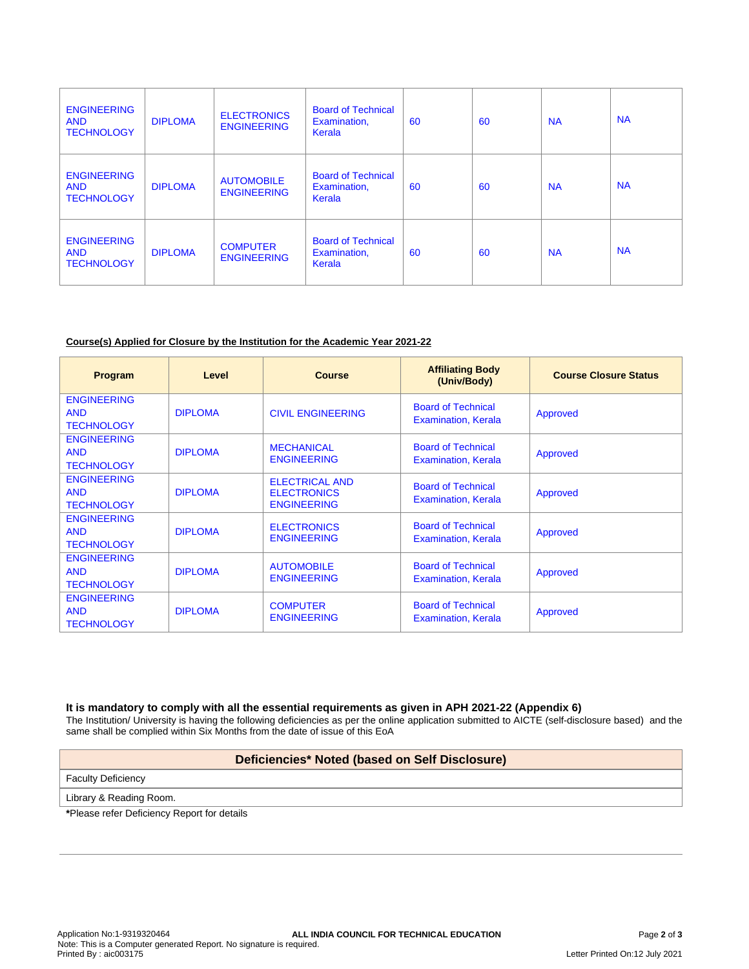| <b>ENGINEERING</b><br><b>AND</b><br><b>TECHNOLOGY</b> | <b>DIPLOMA</b> | <b>ELECTRONICS</b><br><b>ENGINEERING</b> | <b>Board of Technical</b><br>Examination,<br>Kerala | 60 | 60 | <b>NA</b> | <b>NA</b> |
|-------------------------------------------------------|----------------|------------------------------------------|-----------------------------------------------------|----|----|-----------|-----------|
| <b>ENGINEERING</b><br><b>AND</b><br><b>TECHNOLOGY</b> | <b>DIPLOMA</b> | <b>AUTOMOBILE</b><br><b>ENGINEERING</b>  | <b>Board of Technical</b><br>Examination,<br>Kerala | 60 | 60 | <b>NA</b> | <b>NA</b> |
| <b>ENGINEERING</b><br><b>AND</b><br><b>TECHNOLOGY</b> | <b>DIPLOMA</b> | <b>COMPUTER</b><br><b>ENGINEERING</b>    | <b>Board of Technical</b><br>Examination,<br>Kerala | 60 | 60 | <b>NA</b> | <b>NA</b> |

### **Course(s) Applied for Closure by the Institution for the Academic Year 2021-22**

| Program                                               | Level          | <b>Course</b>                                                     | <b>Affiliating Body</b><br>(Univ/Body)                  | <b>Course Closure Status</b> |
|-------------------------------------------------------|----------------|-------------------------------------------------------------------|---------------------------------------------------------|------------------------------|
| <b>ENGINEERING</b><br><b>AND</b><br><b>TECHNOLOGY</b> | <b>DIPLOMA</b> | <b>CIVIL ENGINEERING</b>                                          | <b>Board of Technical</b><br><b>Examination, Kerala</b> | Approved                     |
| <b>ENGINEERING</b><br><b>AND</b><br><b>TECHNOLOGY</b> | <b>DIPLOMA</b> | <b>MECHANICAL</b><br><b>ENGINEERING</b>                           | <b>Board of Technical</b><br><b>Examination, Kerala</b> | Approved                     |
| <b>ENGINEERING</b><br><b>AND</b><br><b>TECHNOLOGY</b> | <b>DIPLOMA</b> | <b>ELECTRICAL AND</b><br><b>ELECTRONICS</b><br><b>ENGINEERING</b> | <b>Board of Technical</b><br><b>Examination, Kerala</b> | Approved                     |
| <b>ENGINEERING</b><br><b>AND</b><br><b>TECHNOLOGY</b> | <b>DIPLOMA</b> | <b>ELECTRONICS</b><br><b>ENGINEERING</b>                          | <b>Board of Technical</b><br><b>Examination, Kerala</b> | Approved                     |
| <b>ENGINEERING</b><br><b>AND</b><br><b>TECHNOLOGY</b> | <b>DIPLOMA</b> | <b>AUTOMOBILE</b><br><b>ENGINEERING</b>                           | <b>Board of Technical</b><br><b>Examination, Kerala</b> | Approved                     |
| <b>ENGINEERING</b><br><b>AND</b><br><b>TECHNOLOGY</b> | <b>DIPLOMA</b> | <b>COMPUTER</b><br><b>ENGINEERING</b>                             | <b>Board of Technical</b><br>Examination, Kerala        | Approved                     |

**It is mandatory to comply with all the essential requirements as given in APH 2021-22 (Appendix 6)**

The Institution/ University is having the following deficiencies as per the online application submitted to AICTE (self-disclosure based) and the same shall be complied within Six Months from the date of issue of this EoA

# **Deficiencies\* Noted (based on Self Disclosure)**

Faculty Deficiency

Library & Reading Room.

**\***Please refer Deficiency Report for details